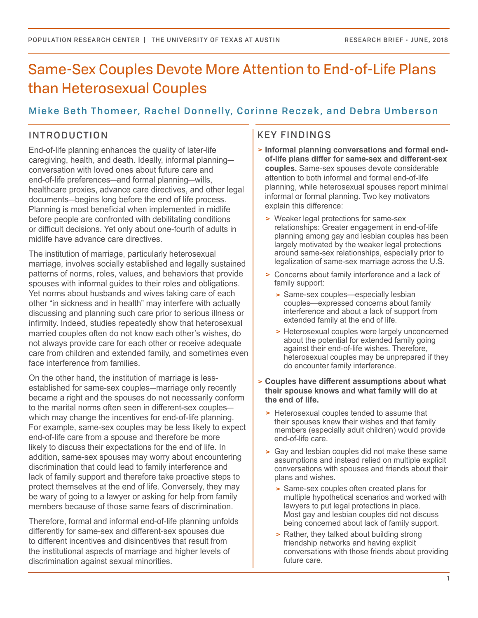# Same-Sex Couples Devote More Attention to End-of-Life Plans than Heterosexual Couples

# Mieke Beth Thomeer, Rachel Donnelly, Corinne Reczek, and Debra Umberson

## INTRODUCTION

End-of-life planning enhances the quality of later-life caregiving, health, and death. Ideally, informal planning conversation with loved ones about future care and end-of-life preferences—and formal planning—wills, healthcare proxies, advance care directives, and other legal documents—begins long before the end of life process. Planning is most beneficial when implemented in midlife before people are confronted with debilitating conditions or difficult decisions. Yet only about one-fourth of adults in midlife have advance care directives.

The institution of marriage, particularly heterosexual marriage, involves socially established and legally sustained patterns of norms, roles, values, and behaviors that provide spouses with informal guides to their roles and obligations. Yet norms about husbands and wives taking care of each other "in sickness and in health" may interfere with actually discussing and planning such care prior to serious illness or infirmity. Indeed, studies repeatedly show that heterosexual married couples often do not know each other's wishes, do not always provide care for each other or receive adequate care from children and extended family, and sometimes even face interference from families.

On the other hand, the institution of marriage is lessestablished for same-sex couples—marriage only recently became a right and the spouses do not necessarily conform to the marital norms often seen in different-sex couples which may change the incentives for end-of-life planning. For example, same-sex couples may be less likely to expect end-of-life care from a spouse and therefore be more likely to discuss their expectations for the end of life. In addition, same-sex spouses may worry about encountering discrimination that could lead to family interference and lack of family support and therefore take proactive steps to protect themselves at the end of life. Conversely, they may be wary of going to a lawyer or asking for help from family members because of those same fears of discrimination.

Therefore, formal and informal end-of-life planning unfolds differently for same-sex and different-sex spouses due to different incentives and disincentives that result from the institutional aspects of marriage and higher levels of discrimination against sexual minorities.

## KEY FINDINGS

- **Informal planning conversations and formal endof-life plans differ for same-sex and different-sex couples.** Same-sex spouses devote considerable attention to both informal and formal end-of-life planning, while heterosexual spouses report minimal informal or formal planning. Two key motivators explain this difference:
	- Weaker legal protections for same-sex relationships: Greater engagement in end-of-life planning among gay and lesbian couples has been largely motivated by the weaker legal protections around same-sex relationships, especially prior to legalization of same-sex marriage across the U.S.
	- Concerns about family interference and a lack of family support:
		- > Same-sex couples—especially lesbian couples—expressed concerns about family interference and about a lack of support from extended family at the end of life.
		- > Heterosexual couples were largely unconcerned about the potential for extended family going against their end-of-life wishes. Therefore, heterosexual couples may be unprepared if they do encounter family interference.
- **Couples have different assumptions about what their spouse knows and what family will do at the end of life.**
	- > Heterosexual couples tended to assume that their spouses knew their wishes and that family members (especially adult children) would provide end-of-life care.
	- Gay and lesbian couples did not make these same assumptions and instead relied on multiple explicit conversations with spouses and friends about their plans and wishes.
		- > Same-sex couples often created plans for multiple hypothetical scenarios and worked with lawyers to put legal protections in place. Most gay and lesbian couples did not discuss being concerned about lack of family support.
		- > Rather, they talked about building strong friendship networks and having explicit conversations with those friends about providing future care.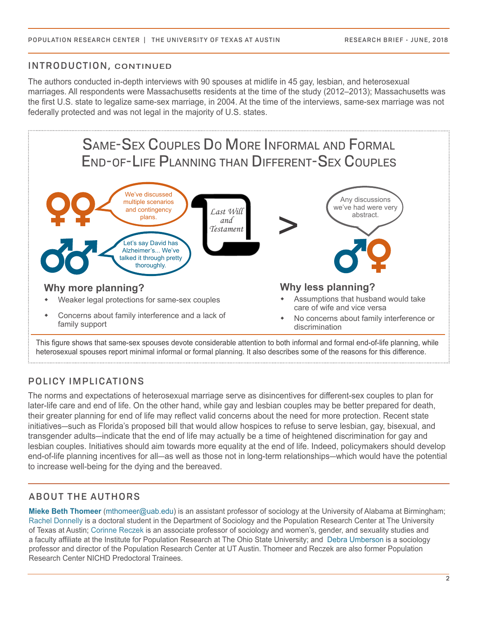### INTRODUCTION, CONTINUED

The authors conducted in-depth interviews with 90 spouses at midlife in 45 gay, lesbian, and heterosexual marriages. All respondents were Massachusetts residents at the time of the study (2012–2013); Massachusetts was the first U.S. state to legalize same-sex marriage, in 2004. At the time of the interviews, same-sex marriage was not federally protected and was not legal in the majority of U.S. states.



This figure shows that same-sex spouses devote considerable attention to both informal and formal end-of-life planning, while heterosexual spouses report minimal informal or formal planning. It also describes some of the reasons for this difference.

# POLICY IMPLICATIONS

The norms and expectations of heterosexual marriage serve as disincentives for different-sex couples to plan for later-life care and end of life. On the other hand, while gay and lesbian couples may be better prepared for death, their greater planning for end of life may reflect valid concerns about the need for more protection. Recent state initiatives—such as Florida's proposed bill that would allow hospices to refuse to serve lesbian, gay, bisexual, and transgender adults—indicate that the end of life may actually be a time of heightened discrimination for gay and lesbian couples. Initiatives should aim towards more equality at the end of life. Indeed, policymakers should develop end-of-life planning incentives for all—as well as those not in long-term relationships—which would have the potential to increase well-being for the dying and the bereaved.

## ABOUT THE AUTHORS

**Mieke Beth Thomeer** (mthomeer@uab.edu) is an assistant professor of sociology at the University of Alabama at Birmingham; Rachel Donnelly is a doctoral student in the Department of Sociology and the Population Research Center at The University of Texas at Austin; Corinne Reczek is an associate professor of sociology and women's, gender, and sexuality studies and a faculty affiliate at the Institute for Population Research at The Ohio State University; and Debra Umberson is a sociology professor and director of the Population Research Center at UT Austin. Thomeer and Reczek are also former Population Research Center NICHD Predoctoral Trainees.